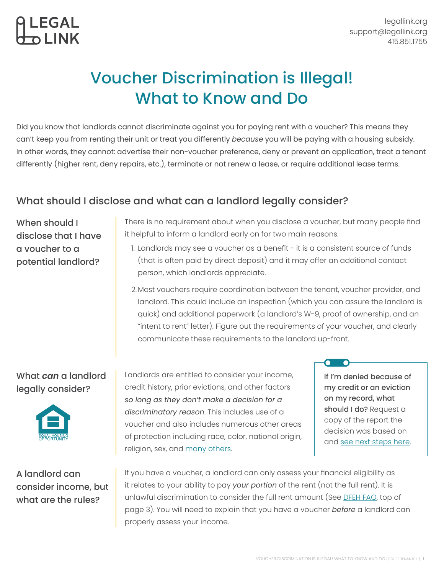# Voucher Discrimination is Illegal! What to Know and Do

Did you know that landlords cannot discriminate against you for paying rent with a voucher? This means they can't keep you from renting their unit or treat you differently *because* you will be paying with a housing subsidy. In other words, they cannot: advertise their non-voucher preference, deny or prevent an application, treat a tenant differently (higher rent, deny repairs, etc.), terminate or not renew a lease, or require additional lease terms.

# What should I disclose and what can a landlord legally consider?

When should I disclose that I have a voucher to a potential landlord?

LEGAI

There is no requirement about when you disclose a voucher, but many people find it helpful to inform a landlord early on for two main reasons.

- 1. Landlords may see a voucher as a benefit it is a consistent source of funds (that is often paid by direct deposit) and it may offer an additional contact person, which landlords appreciate.
- 2. Most vouchers require coordination between the tenant, voucher provider, and landlord. This could include an inspection (which you can assure the landlord is quick) and additional paperwork (a landlord's W-9, proof of ownership, and an "intent to rent" letter). Figure out the requirements of your voucher, and clearly communicate these requirements to the landlord up-front.

### What *can* a landlord legally consider?



A landlord can consider income, but what are the rules?

Landlords are entitled to consider your income, credit history, prior evictions, and other factors *so long as they don't make a decision for a discriminatory reason*. This includes use of a voucher and also includes numerous other areas of protection including race, color, national origin, religion, sex, and <u>many others</u>.

If I'm denied because of my credit or an eviction on my record, what should I do? Request a copy of the report the decision was based on and [see next steps here](https://www.consumerfinance.gov/ask-cfpb/what-should-i-do-if-my-rental-application-is-denied-due-to-a-tenant-screening-report-en-2105/).

n

If you have a voucher, a landlord can only assess your financial eligibility as it relates to your ability to pay *your portion* of the rent (not the full rent). It is unlawful discrimination to consider the full rent amount (See [DFEH FAQ,](https://www.dfeh.ca.gov/wp-content/uploads/sites/32/2020/02/SourceofIncomeFAQ_ENG.pdf) top of page 3). You will need to explain that you have a voucher *before* a landlord can properly assess your income.